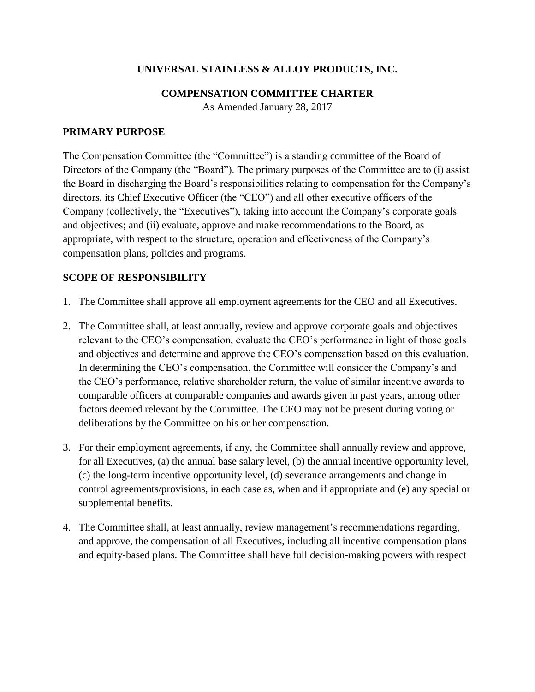# **UNIVERSAL STAINLESS & ALLOY PRODUCTS, INC.**

### **COMPENSATION COMMITTEE CHARTER**

As Amended January 28, 2017

#### **PRIMARY PURPOSE**

The Compensation Committee (the "Committee") is a standing committee of the Board of Directors of the Company (the "Board"). The primary purposes of the Committee are to (i) assist the Board in discharging the Board's responsibilities relating to compensation for the Company's directors, its Chief Executive Officer (the "CEO") and all other executive officers of the Company (collectively, the "Executives"), taking into account the Company's corporate goals and objectives; and (ii) evaluate, approve and make recommendations to the Board, as appropriate, with respect to the structure, operation and effectiveness of the Company's compensation plans, policies and programs.

### **SCOPE OF RESPONSIBILITY**

- 1. The Committee shall approve all employment agreements for the CEO and all Executives.
- 2. The Committee shall, at least annually, review and approve corporate goals and objectives relevant to the CEO's compensation, evaluate the CEO's performance in light of those goals and objectives and determine and approve the CEO's compensation based on this evaluation. In determining the CEO's compensation, the Committee will consider the Company's and the CEO's performance, relative shareholder return, the value of similar incentive awards to comparable officers at comparable companies and awards given in past years, among other factors deemed relevant by the Committee. The CEO may not be present during voting or deliberations by the Committee on his or her compensation.
- 3. For their employment agreements, if any, the Committee shall annually review and approve, for all Executives, (a) the annual base salary level, (b) the annual incentive opportunity level, (c) the long-term incentive opportunity level, (d) severance arrangements and change in control agreements/provisions, in each case as, when and if appropriate and (e) any special or supplemental benefits.
- 4. The Committee shall, at least annually, review management's recommendations regarding, and approve, the compensation of all Executives, including all incentive compensation plans and equity-based plans. The Committee shall have full decision-making powers with respect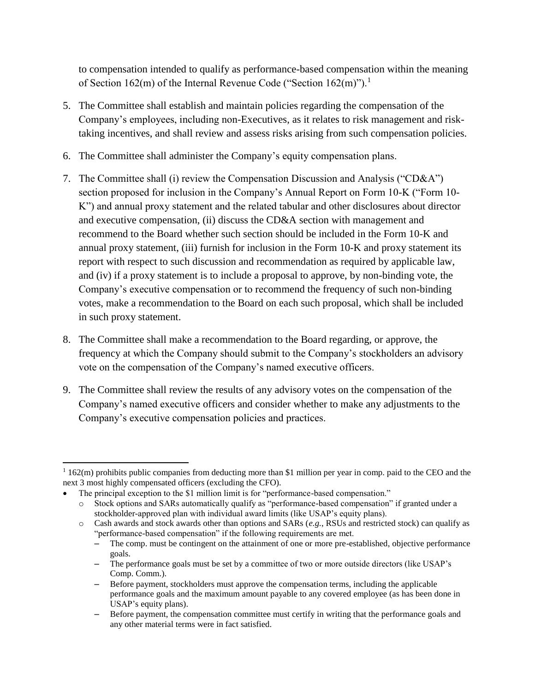to compensation intended to qualify as performance-based compensation within the meaning of Section 162(m) of the Internal Revenue Code ("Section  $162(m)$ ").<sup>1</sup>

- 5. The Committee shall establish and maintain policies regarding the compensation of the Company's employees, including non-Executives, as it relates to risk management and risktaking incentives, and shall review and assess risks arising from such compensation policies.
- 6. The Committee shall administer the Company's equity compensation plans.
- 7. The Committee shall (i) review the Compensation Discussion and Analysis ("CD&A") section proposed for inclusion in the Company's Annual Report on Form 10-K ("Form 10- K") and annual proxy statement and the related tabular and other disclosures about director and executive compensation, (ii) discuss the CD&A section with management and recommend to the Board whether such section should be included in the Form 10-K and annual proxy statement, (iii) furnish for inclusion in the Form 10-K and proxy statement its report with respect to such discussion and recommendation as required by applicable law, and (iv) if a proxy statement is to include a proposal to approve, by non-binding vote, the Company's executive compensation or to recommend the frequency of such non-binding votes, make a recommendation to the Board on each such proposal, which shall be included in such proxy statement.
- 8. The Committee shall make a recommendation to the Board regarding, or approve, the frequency at which the Company should submit to the Company's stockholders an advisory vote on the compensation of the Company's named executive officers.
- 9. The Committee shall review the results of any advisory votes on the compensation of the Company's named executive officers and consider whether to make any adjustments to the Company's executive compensation policies and practices.

 $\overline{a}$ 

 $1\overline{162(m)}$  prohibits public companies from deducting more than \$1 million per year in comp. paid to the CEO and the next 3 most highly compensated officers (excluding the CFO).

The principal exception to the \$1 million limit is for "performance-based compensation."

o Stock options and SARs automatically qualify as "performance-based compensation" if granted under a stockholder-approved plan with individual award limits (like USAP's equity plans).

o Cash awards and stock awards other than options and SARs (*e.g.*, RSUs and restricted stock) can qualify as "performance-based compensation" if the following requirements are met.

<sup>‒</sup> The comp. must be contingent on the attainment of one or more pre-established, objective performance goals.

<sup>‒</sup> The performance goals must be set by a committee of two or more outside directors (like USAP's Comp. Comm.).

<sup>‒</sup> Before payment, stockholders must approve the compensation terms, including the applicable performance goals and the maximum amount payable to any covered employee (as has been done in USAP's equity plans).

<sup>‒</sup> Before payment, the compensation committee must certify in writing that the performance goals and any other material terms were in fact satisfied.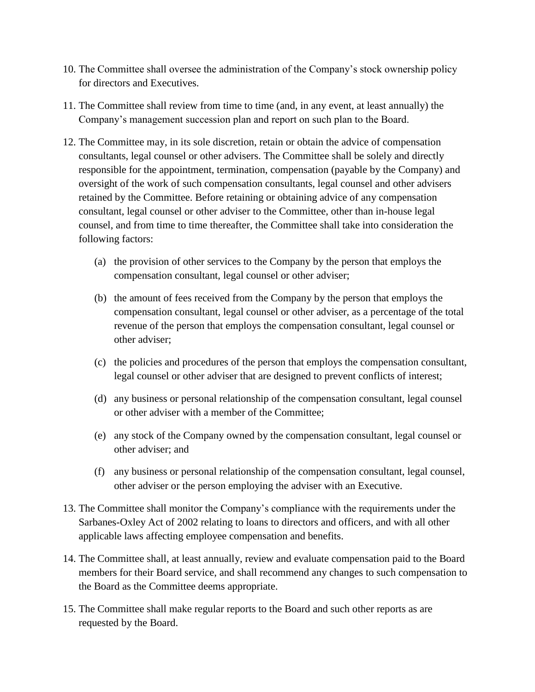- 10. The Committee shall oversee the administration of the Company's stock ownership policy for directors and Executives.
- 11. The Committee shall review from time to time (and, in any event, at least annually) the Company's management succession plan and report on such plan to the Board.
- 12. The Committee may, in its sole discretion, retain or obtain the advice of compensation consultants, legal counsel or other advisers. The Committee shall be solely and directly responsible for the appointment, termination, compensation (payable by the Company) and oversight of the work of such compensation consultants, legal counsel and other advisers retained by the Committee. Before retaining or obtaining advice of any compensation consultant, legal counsel or other adviser to the Committee, other than in-house legal counsel, and from time to time thereafter, the Committee shall take into consideration the following factors:
	- (a) the provision of other services to the Company by the person that employs the compensation consultant, legal counsel or other adviser;
	- (b) the amount of fees received from the Company by the person that employs the compensation consultant, legal counsel or other adviser, as a percentage of the total revenue of the person that employs the compensation consultant, legal counsel or other adviser;
	- (c) the policies and procedures of the person that employs the compensation consultant, legal counsel or other adviser that are designed to prevent conflicts of interest;
	- (d) any business or personal relationship of the compensation consultant, legal counsel or other adviser with a member of the Committee;
	- (e) any stock of the Company owned by the compensation consultant, legal counsel or other adviser; and
	- (f) any business or personal relationship of the compensation consultant, legal counsel, other adviser or the person employing the adviser with an Executive.
- 13. The Committee shall monitor the Company's compliance with the requirements under the Sarbanes-Oxley Act of 2002 relating to loans to directors and officers, and with all other applicable laws affecting employee compensation and benefits.
- 14. The Committee shall, at least annually, review and evaluate compensation paid to the Board members for their Board service, and shall recommend any changes to such compensation to the Board as the Committee deems appropriate.
- 15. The Committee shall make regular reports to the Board and such other reports as are requested by the Board.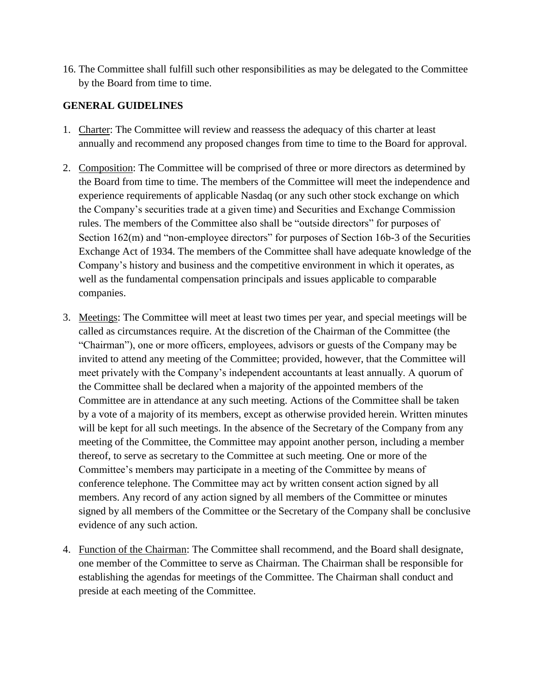16. The Committee shall fulfill such other responsibilities as may be delegated to the Committee by the Board from time to time.

# **GENERAL GUIDELINES**

- 1. Charter: The Committee will review and reassess the adequacy of this charter at least annually and recommend any proposed changes from time to time to the Board for approval.
- 2. Composition: The Committee will be comprised of three or more directors as determined by the Board from time to time. The members of the Committee will meet the independence and experience requirements of applicable Nasdaq (or any such other stock exchange on which the Company's securities trade at a given time) and Securities and Exchange Commission rules. The members of the Committee also shall be "outside directors" for purposes of Section 162(m) and "non-employee directors" for purposes of Section 16b-3 of the Securities Exchange Act of 1934. The members of the Committee shall have adequate knowledge of the Company's history and business and the competitive environment in which it operates, as well as the fundamental compensation principals and issues applicable to comparable companies.
- 3. Meetings: The Committee will meet at least two times per year, and special meetings will be called as circumstances require. At the discretion of the Chairman of the Committee (the "Chairman"), one or more officers, employees, advisors or guests of the Company may be invited to attend any meeting of the Committee; provided, however, that the Committee will meet privately with the Company's independent accountants at least annually. A quorum of the Committee shall be declared when a majority of the appointed members of the Committee are in attendance at any such meeting. Actions of the Committee shall be taken by a vote of a majority of its members, except as otherwise provided herein. Written minutes will be kept for all such meetings. In the absence of the Secretary of the Company from any meeting of the Committee, the Committee may appoint another person, including a member thereof, to serve as secretary to the Committee at such meeting. One or more of the Committee's members may participate in a meeting of the Committee by means of conference telephone. The Committee may act by written consent action signed by all members. Any record of any action signed by all members of the Committee or minutes signed by all members of the Committee or the Secretary of the Company shall be conclusive evidence of any such action.
- 4. Function of the Chairman: The Committee shall recommend, and the Board shall designate, one member of the Committee to serve as Chairman. The Chairman shall be responsible for establishing the agendas for meetings of the Committee. The Chairman shall conduct and preside at each meeting of the Committee.